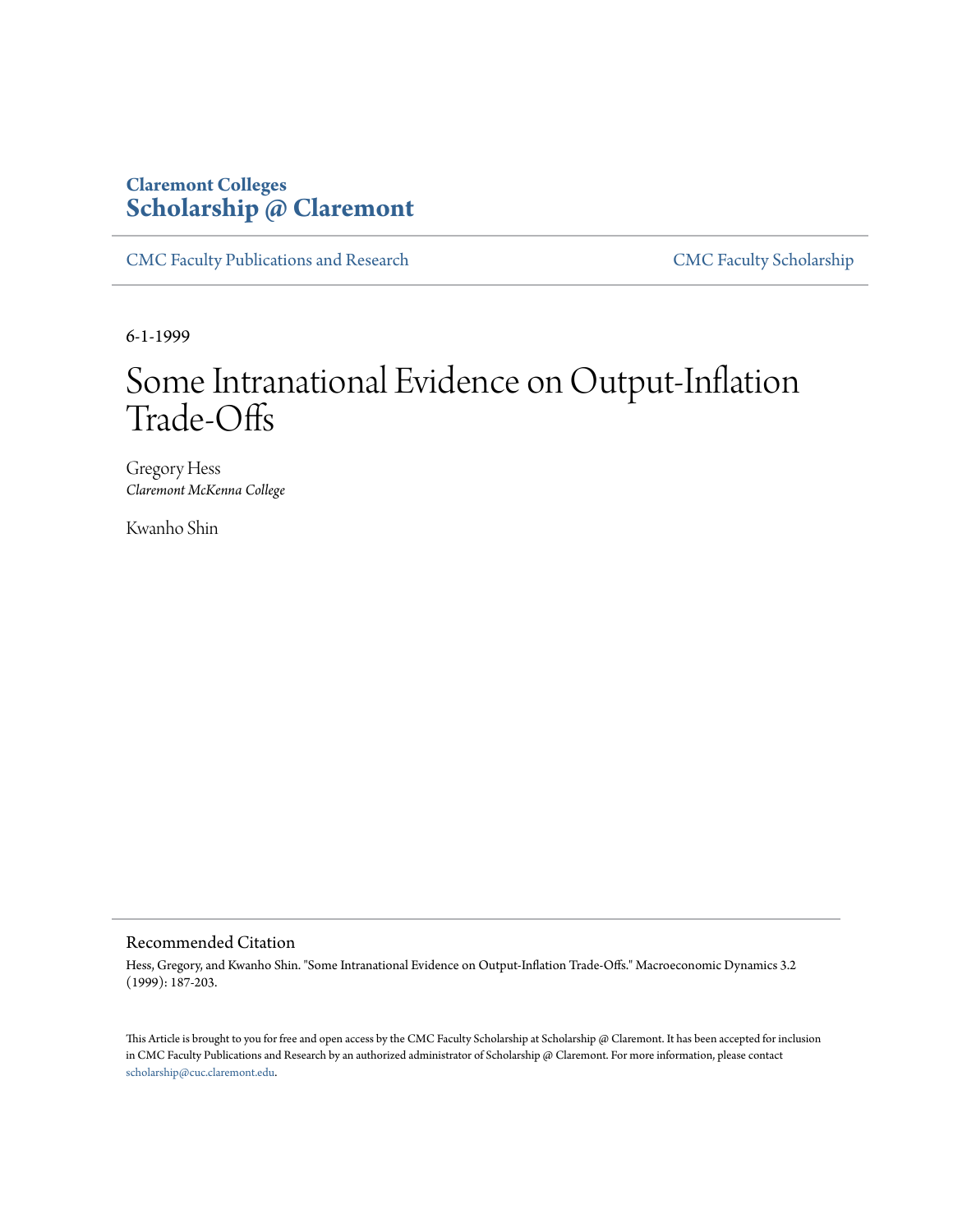# **Claremont Colleges [Scholarship @ Claremont](http://scholarship.claremont.edu)**

[CMC Faculty Publications and Research](http://scholarship.claremont.edu/cmc_fac_pub) [CMC Faculty Scholarship](http://scholarship.claremont.edu/cmc_faculty)

6-1-1999

# Some Intranational Evidence on Output-Inflation Trade-Offs

Gregory Hess *Claremont McKenna College*

Kwanho Shin

## Recommended Citation

Hess, Gregory, and Kwanho Shin. "Some Intranational Evidence on Output-Inflation Trade-Offs." Macroeconomic Dynamics 3.2 (1999): 187-203.

This Article is brought to you for free and open access by the CMC Faculty Scholarship at Scholarship @ Claremont. It has been accepted for inclusion in CMC Faculty Publications and Research by an authorized administrator of Scholarship @ Claremont. For more information, please contact [scholarship@cuc.claremont.edu.](mailto:scholarship@cuc.claremont.edu)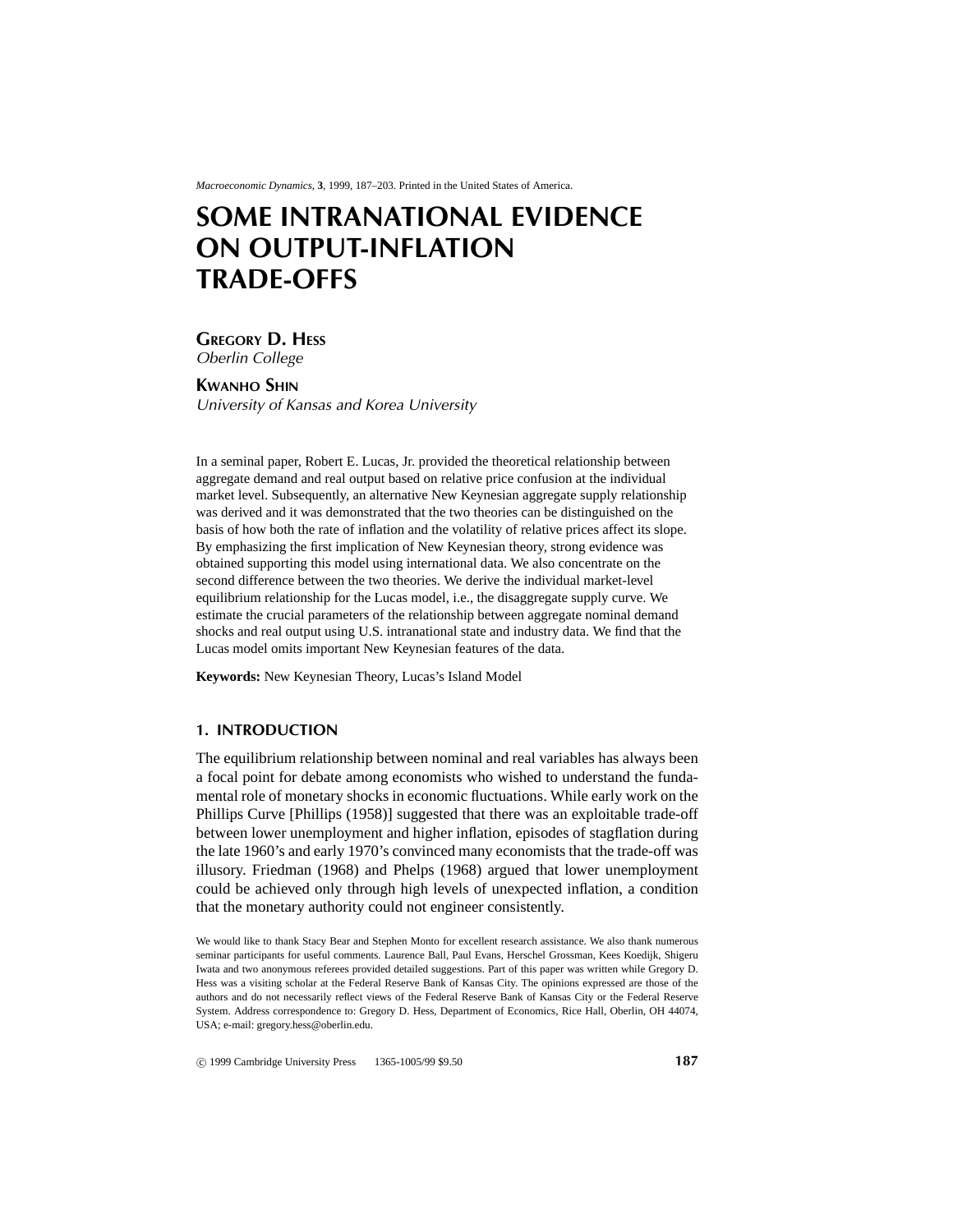*Macroeconomic Dynamics*, **3**, 1999, 187–203. Printed in the United States of America.

# **SOME INTRANATIONAL EVIDENCE ON OUTPUT-INFLATION TRADE-OFFS**

# **GREGORY D. HESS** Oberlin College

# **KWANHO SHIN**

University of Kansas and Korea University

In a seminal paper, Robert E. Lucas, Jr. provided the theoretical relationship between aggregate demand and real output based on relative price confusion at the individual market level. Subsequently, an alternative New Keynesian aggregate supply relationship was derived and it was demonstrated that the two theories can be distinguished on the basis of how both the rate of inflation and the volatility of relative prices affect its slope. By emphasizing the first implication of New Keynesian theory, strong evidence was obtained supporting this model using international data. We also concentrate on the second difference between the two theories. We derive the individual market-level equilibrium relationship for the Lucas model, i.e., the disaggregate supply curve. We estimate the crucial parameters of the relationship between aggregate nominal demand shocks and real output using U.S. intranational state and industry data. We find that the Lucas model omits important New Keynesian features of the data.

**Keywords:** New Keynesian Theory, Lucas's Island Model

#### **1. INTRODUCTION**

The equilibrium relationship between nominal and real variables has always been a focal point for debate among economists who wished to understand the fundamental role of monetary shocks in economic fluctuations. While early work on the Phillips Curve [Phillips (1958)] suggested that there was an exploitable trade-off between lower unemployment and higher inflation, episodes of stagflation during the late 1960's and early 1970's convinced many economists that the trade-off was illusory. Friedman (1968) and Phelps (1968) argued that lower unemployment could be achieved only through high levels of unexpected inflation, a condition that the monetary authority could not engineer consistently.

We would like to thank Stacy Bear and Stephen Monto for excellent research assistance. We also thank numerous seminar participants for useful comments. Laurence Ball, Paul Evans, Herschel Grossman, Kees Koedijk, Shigeru Iwata and two anonymous referees provided detailed suggestions. Part of this paper was written while Gregory D. Hess was a visiting scholar at the Federal Reserve Bank of Kansas City. The opinions expressed are those of the authors and do not necessarily reflect views of the Federal Reserve Bank of Kansas City or the Federal Reserve System. Address correspondence to: Gregory D. Hess, Department of Economics, Rice Hall, Oberlin, OH 44074, USA; e-mail: gregory.hess@oberlin.edu.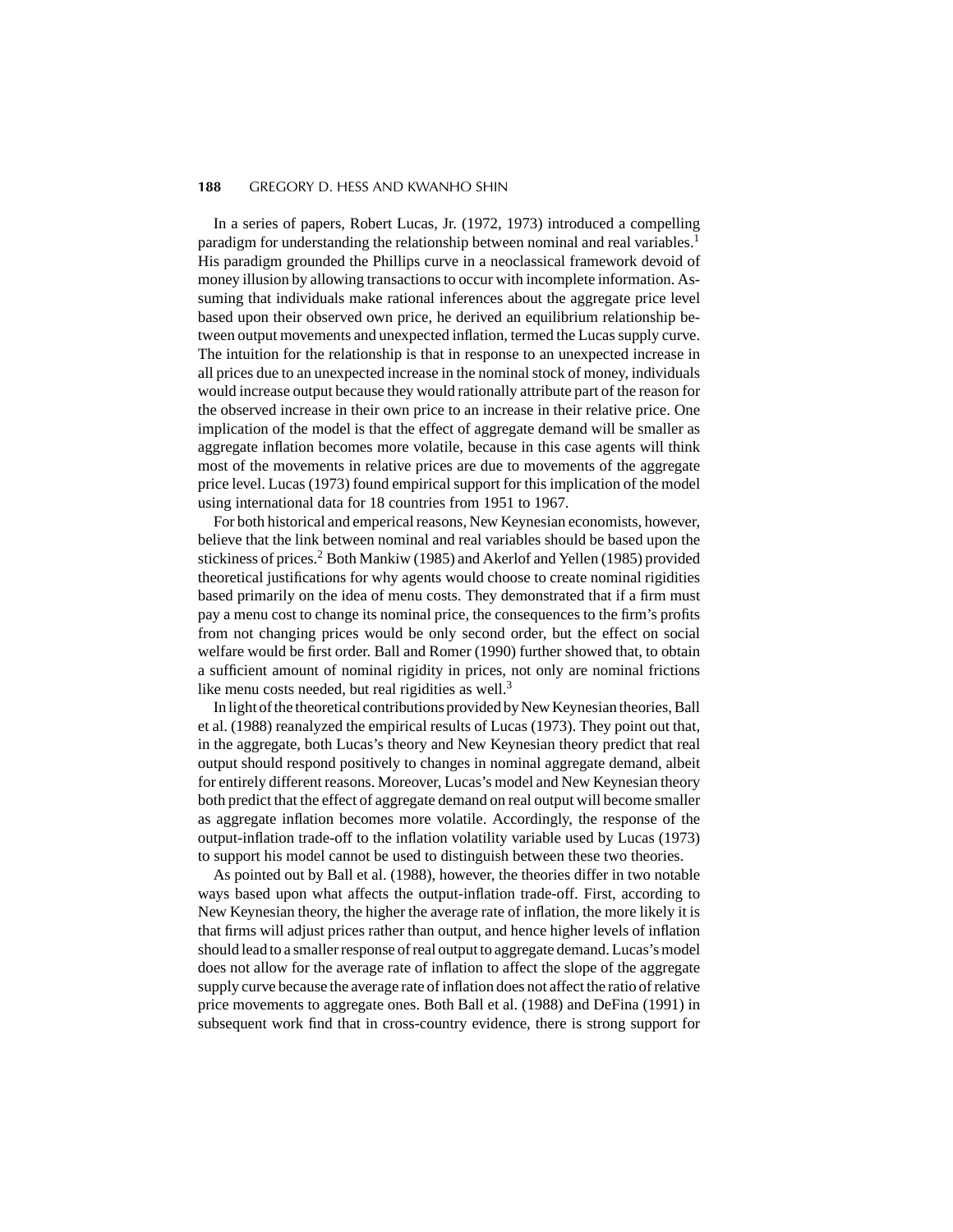In a series of papers, Robert Lucas, Jr. (1972, 1973) introduced a compelling paradigm for understanding the relationship between nominal and real variables.<sup>1</sup> His paradigm grounded the Phillips curve in a neoclassical framework devoid of money illusion by allowing transactions to occur with incomplete information. Assuming that individuals make rational inferences about the aggregate price level based upon their observed own price, he derived an equilibrium relationship between output movements and unexpected inflation, termed the Lucas supply curve. The intuition for the relationship is that in response to an unexpected increase in all prices due to an unexpected increase in the nominal stock of money, individuals would increase output because they would rationally attribute part of the reason for the observed increase in their own price to an increase in their relative price. One implication of the model is that the effect of aggregate demand will be smaller as aggregate inflation becomes more volatile, because in this case agents will think most of the movements in relative prices are due to movements of the aggregate price level. Lucas (1973) found empirical support for this implication of the model using international data for 18 countries from 1951 to 1967.

For both historical and emperical reasons, New Keynesian economists, however, believe that the link between nominal and real variables should be based upon the stickiness of prices.2 Both Mankiw (1985) and Akerlof and Yellen (1985) provided theoretical justifications for why agents would choose to create nominal rigidities based primarily on the idea of menu costs. They demonstrated that if a firm must pay a menu cost to change its nominal price, the consequences to the firm's profits from not changing prices would be only second order, but the effect on social welfare would be first order. Ball and Romer (1990) further showed that, to obtain a sufficient amount of nominal rigidity in prices, not only are nominal frictions like menu costs needed, but real rigidities as well. $3$ 

In light of the theoretical contributions provided by New Keynesian theories, Ball et al. (1988) reanalyzed the empirical results of Lucas (1973). They point out that, in the aggregate, both Lucas's theory and New Keynesian theory predict that real output should respond positively to changes in nominal aggregate demand, albeit for entirely different reasons. Moreover, Lucas's model and New Keynesian theory both predict that the effect of aggregate demand on real output will become smaller as aggregate inflation becomes more volatile. Accordingly, the response of the output-inflation trade-off to the inflation volatility variable used by Lucas (1973) to support his model cannot be used to distinguish between these two theories.

As pointed out by Ball et al. (1988), however, the theories differ in two notable ways based upon what affects the output-inflation trade-off. First, according to New Keynesian theory, the higher the average rate of inflation, the more likely it is that firms will adjust prices rather than output, and hence higher levels of inflation should lead to a smaller response of real output to aggregate demand. Lucas's model does not allow for the average rate of inflation to affect the slope of the aggregate supply curve because the average rate of inflation does not affect the ratio of relative price movements to aggregate ones. Both Ball et al. (1988) and DeFina (1991) in subsequent work find that in cross-country evidence, there is strong support for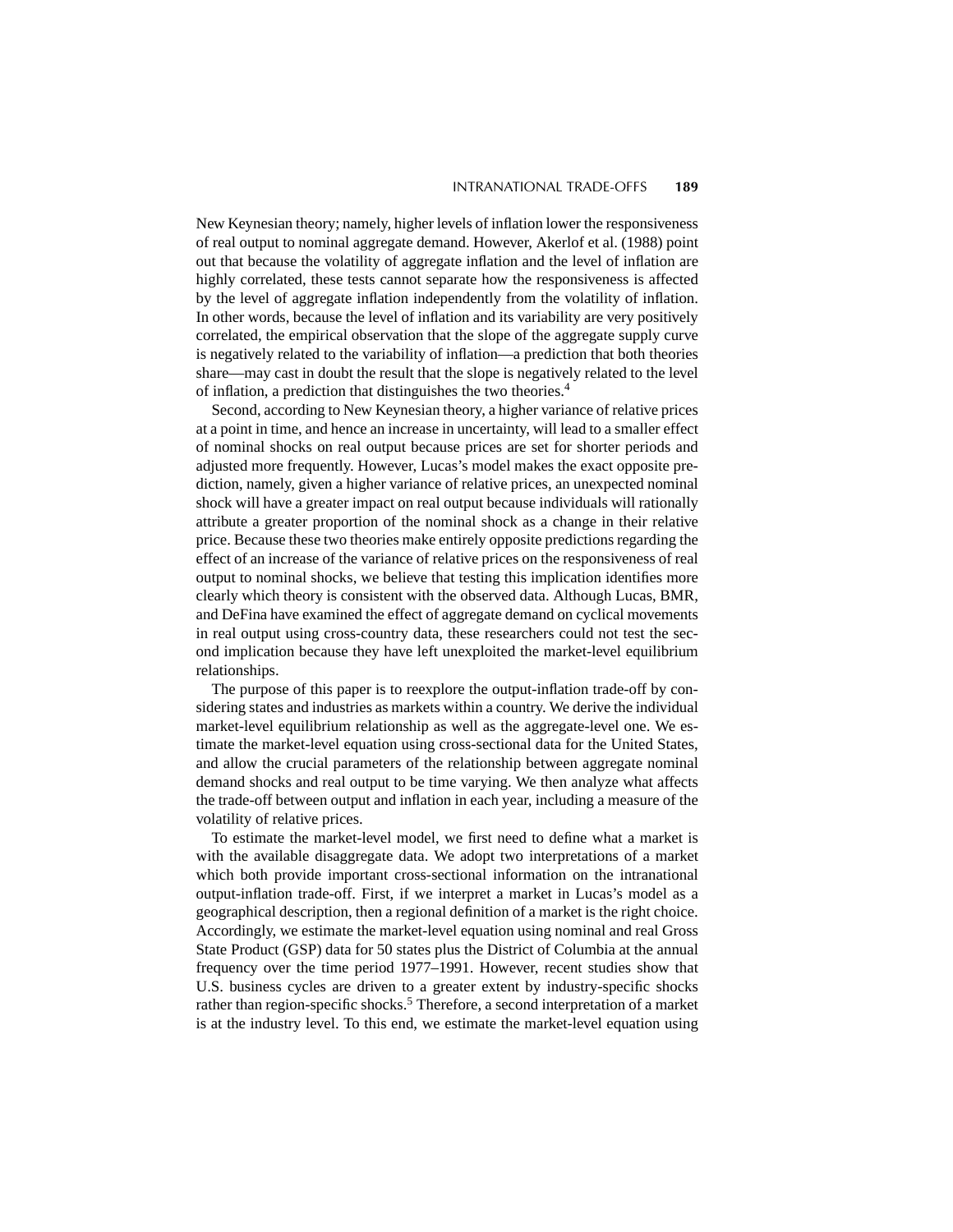New Keynesian theory; namely, higher levels of inflation lower the responsiveness of real output to nominal aggregate demand. However, Akerlof et al. (1988) point out that because the volatility of aggregate inflation and the level of inflation are highly correlated, these tests cannot separate how the responsiveness is affected by the level of aggregate inflation independently from the volatility of inflation. In other words, because the level of inflation and its variability are very positively correlated, the empirical observation that the slope of the aggregate supply curve is negatively related to the variability of inflation—a prediction that both theories share—may cast in doubt the result that the slope is negatively related to the level of inflation, a prediction that distinguishes the two theories.4

Second, according to New Keynesian theory, a higher variance of relative prices at a point in time, and hence an increase in uncertainty, will lead to a smaller effect of nominal shocks on real output because prices are set for shorter periods and adjusted more frequently. However, Lucas's model makes the exact opposite prediction, namely, given a higher variance of relative prices, an unexpected nominal shock will have a greater impact on real output because individuals will rationally attribute a greater proportion of the nominal shock as a change in their relative price. Because these two theories make entirely opposite predictions regarding the effect of an increase of the variance of relative prices on the responsiveness of real output to nominal shocks, we believe that testing this implication identifies more clearly which theory is consistent with the observed data. Although Lucas, BMR, and DeFina have examined the effect of aggregate demand on cyclical movements in real output using cross-country data, these researchers could not test the second implication because they have left unexploited the market-level equilibrium relationships.

The purpose of this paper is to reexplore the output-inflation trade-off by considering states and industries as markets within a country. We derive the individual market-level equilibrium relationship as well as the aggregate-level one. We estimate the market-level equation using cross-sectional data for the United States, and allow the crucial parameters of the relationship between aggregate nominal demand shocks and real output to be time varying. We then analyze what affects the trade-off between output and inflation in each year, including a measure of the volatility of relative prices.

To estimate the market-level model, we first need to define what a market is with the available disaggregate data. We adopt two interpretations of a market which both provide important cross-sectional information on the intranational output-inflation trade-off. First, if we interpret a market in Lucas's model as a geographical description, then a regional definition of a market is the right choice. Accordingly, we estimate the market-level equation using nominal and real Gross State Product (GSP) data for 50 states plus the District of Columbia at the annual frequency over the time period 1977–1991. However, recent studies show that U.S. business cycles are driven to a greater extent by industry-specific shocks rather than region-specific shocks.<sup>5</sup> Therefore, a second interpretation of a market is at the industry level. To this end, we estimate the market-level equation using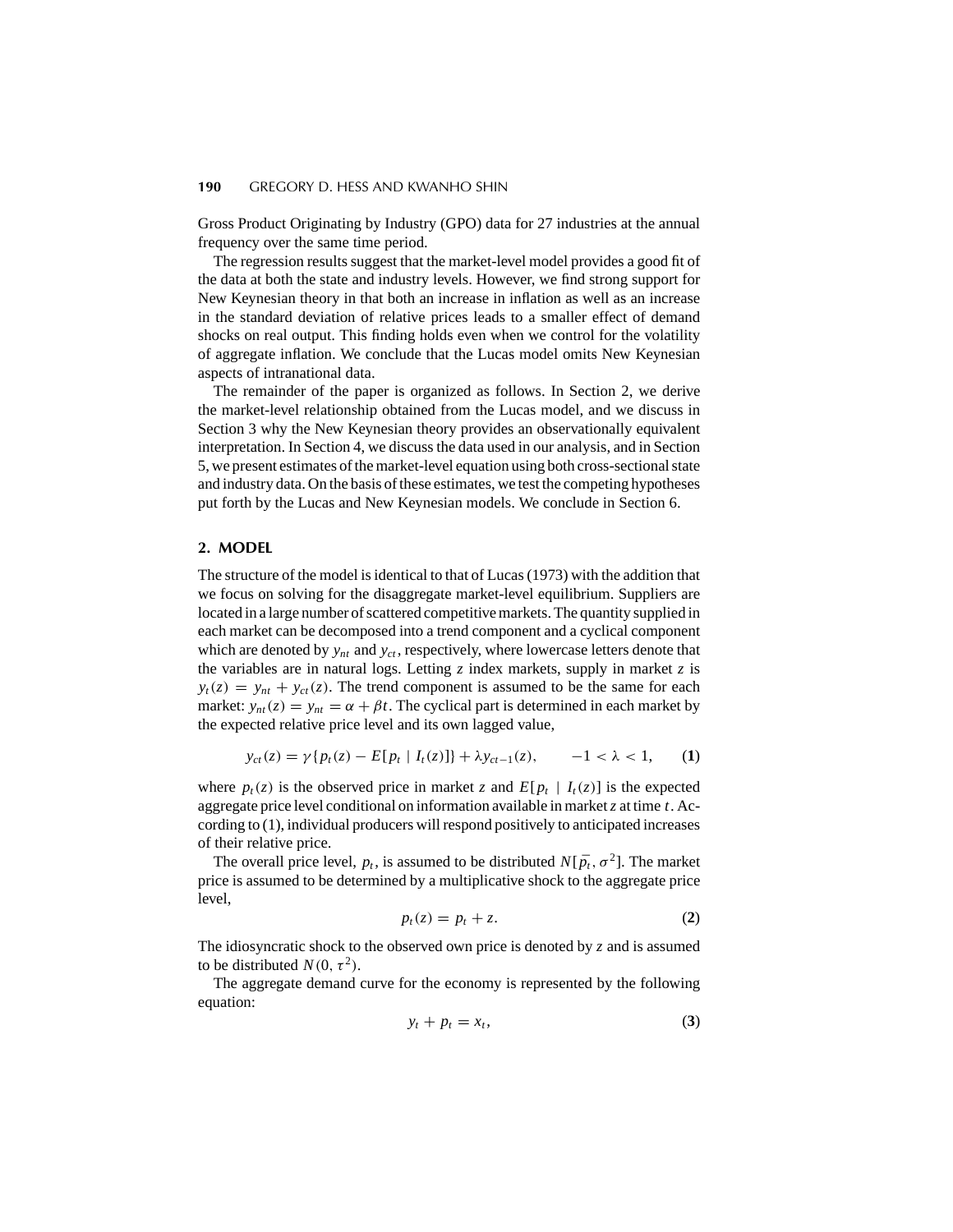Gross Product Originating by Industry (GPO) data for 27 industries at the annual frequency over the same time period.

The regression results suggest that the market-level model provides a good fit of the data at both the state and industry levels. However, we find strong support for New Keynesian theory in that both an increase in inflation as well as an increase in the standard deviation of relative prices leads to a smaller effect of demand shocks on real output. This finding holds even when we control for the volatility of aggregate inflation. We conclude that the Lucas model omits New Keynesian aspects of intranational data.

The remainder of the paper is organized as follows. In Section 2, we derive the market-level relationship obtained from the Lucas model, and we discuss in Section 3 why the New Keynesian theory provides an observationally equivalent interpretation. In Section 4, we discuss the data used in our analysis, and in Section 5, we present estimates of the market-level equation using both cross-sectional state and industry data. On the basis of these estimates, we test the competing hypotheses put forth by the Lucas and New Keynesian models. We conclude in Section 6.

## **2. MODEL**

The structure of the model is identical to that of Lucas (1973) with the addition that we focus on solving for the disaggregate market-level equilibrium. Suppliers are located in a large number of scattered competitive markets. The quantity supplied in each market can be decomposed into a trend component and a cyclical component which are denoted by  $y_{nt}$  and  $y_{ct}$ , respectively, where lowercase letters denote that the variables are in natural logs. Letting *z* index markets, supply in market *z* is  $y_t(z) = y_{nt} + y_{ct}(z)$ . The trend component is assumed to be the same for each market:  $y_{nt}(z) = y_{nt} = \alpha + \beta t$ . The cyclical part is determined in each market by the expected relative price level and its own lagged value,

$$
y_{ct}(z) = \gamma \{ p_t(z) - E[p_t \mid I_t(z)] \} + \lambda y_{ct-1}(z), \qquad -1 < \lambda < 1,\tag{1}
$$

where  $p_t(z)$  is the observed price in market *z* and  $E[p_t | I_t(z)]$  is the expected aggregate price level conditional on information available in market*z* at time *t*. According to (1), individual producers will respond positively to anticipated increases of their relative price.

The overall price level,  $p_t$ , is assumed to be distributed  $N[\bar{p}_t, \sigma^2]$ . The market price is assumed to be determined by a multiplicative shock to the aggregate price level,

$$
p_t(z) = p_t + z. \tag{2}
$$

The idiosyncratic shock to the observed own price is denoted by *z* and is assumed to be distributed  $N(0, \tau^2)$ .

The aggregate demand curve for the economy is represented by the following equation:

$$
y_t + p_t = x_t,\tag{3}
$$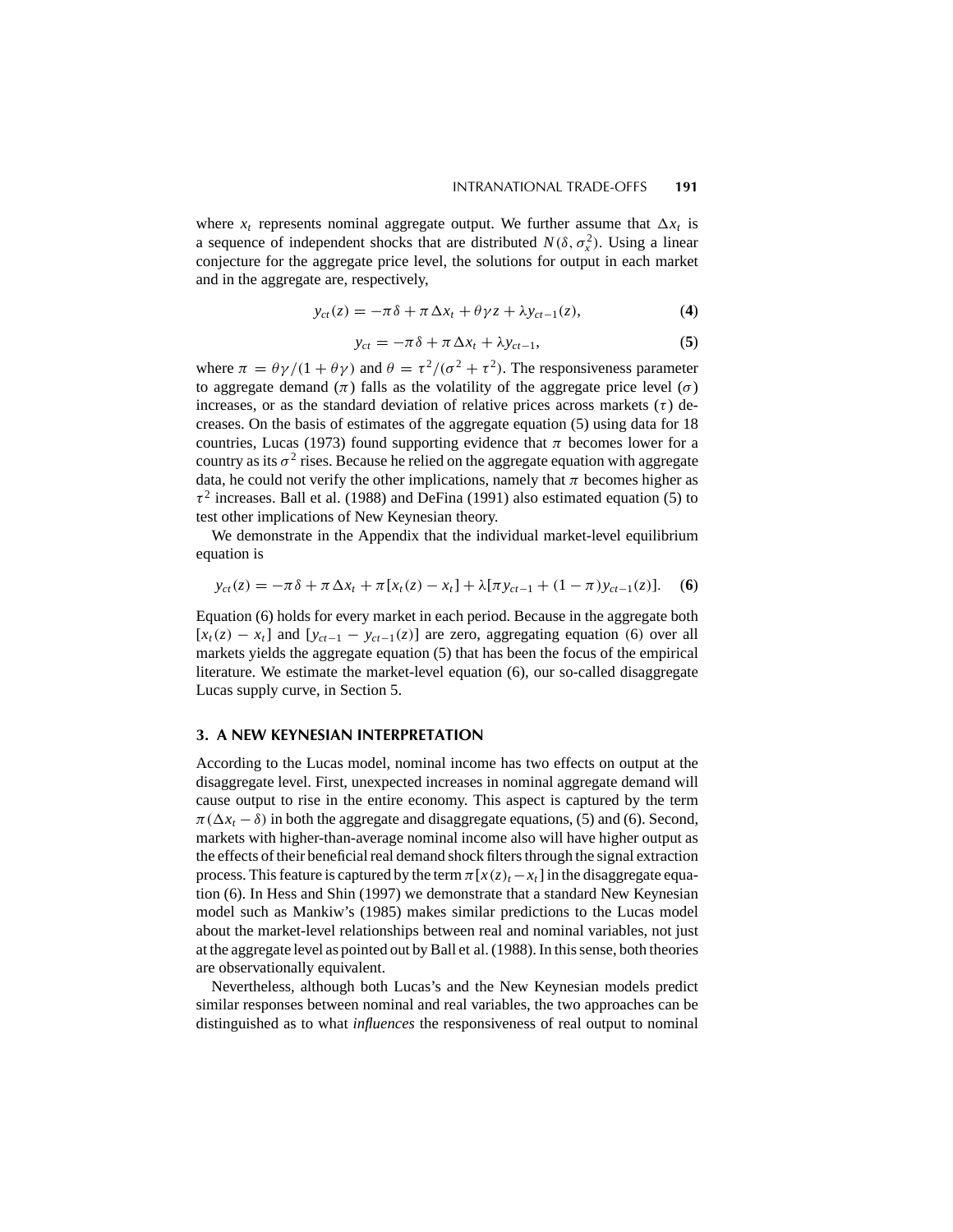where  $x_t$  represents nominal aggregate output. We further assume that  $\Delta x_t$  is a sequence of independent shocks that are distributed  $N(\delta, \sigma_x^2)$ . Using a linear conjecture for the aggregate price level, the solutions for output in each market and in the aggregate are, respectively,

$$
y_{ct}(z) = -\pi \delta + \pi \Delta x_t + \theta \gamma z + \lambda y_{ct-1}(z), \tag{4}
$$

$$
y_{ct} = -\pi \delta + \pi \Delta x_t + \lambda y_{ct-1},\tag{5}
$$

where  $\pi = \theta \gamma/(1 + \theta \gamma)$  and  $\theta = \tau^2/(\sigma^2 + \tau^2)$ . The responsiveness parameter to aggregate demand  $(\pi)$  falls as the volatility of the aggregate price level  $(\sigma)$ increases, or as the standard deviation of relative prices across markets ( $\tau$ ) decreases. On the basis of estimates of the aggregate equation (5) using data for 18 countries, Lucas (1973) found supporting evidence that  $\pi$  becomes lower for a country as its  $\sigma^2$  rises. Because he relied on the aggregate equation with aggregate data, he could not verify the other implications, namely that  $\pi$  becomes higher as  $\tau^2$  increases. Ball et al. (1988) and DeFina (1991) also estimated equation (5) to test other implications of New Keynesian theory.

We demonstrate in the Appendix that the individual market-level equilibrium equation is

$$
y_{ct}(z) = -\pi \delta + \pi \Delta x_t + \pi [x_t(z) - x_t] + \lambda [\pi y_{ct-1} + (1 - \pi) y_{ct-1}(z)].
$$
 (6)

Equation (6) holds for every market in each period. Because in the aggregate both  $[x_t(z) - x_t]$  and  $[y_{ct-1} - y_{ct-1}(z)]$  are zero, aggregating equation (6) over all markets yields the aggregate equation (5) that has been the focus of the empirical literature. We estimate the market-level equation (6), our so-called disaggregate Lucas supply curve, in Section 5.

### **3. A NEW KEYNESIAN INTERPRETATION**

According to the Lucas model, nominal income has two effects on output at the disaggregate level. First, unexpected increases in nominal aggregate demand will cause output to rise in the entire economy. This aspect is captured by the term  $\pi(\Delta x_t - \delta)$  in both the aggregate and disaggregate equations, (5) and (6). Second, markets with higher-than-average nominal income also will have higher output as the effects of their beneficial real demand shock filters through the signal extraction process. This feature is captured by the term  $\pi[x(z_t, -x_t]$  in the disaggregate equation (6). In Hess and Shin (1997) we demonstrate that a standard New Keynesian model such as Mankiw's (1985) makes similar predictions to the Lucas model about the market-level relationships between real and nominal variables, not just at the aggregate level as pointed out by Ball et al. (1988). In this sense, both theories are observationally equivalent.

Nevertheless, although both Lucas's and the New Keynesian models predict similar responses between nominal and real variables, the two approaches can be distinguished as to what *influences* the responsiveness of real output to nominal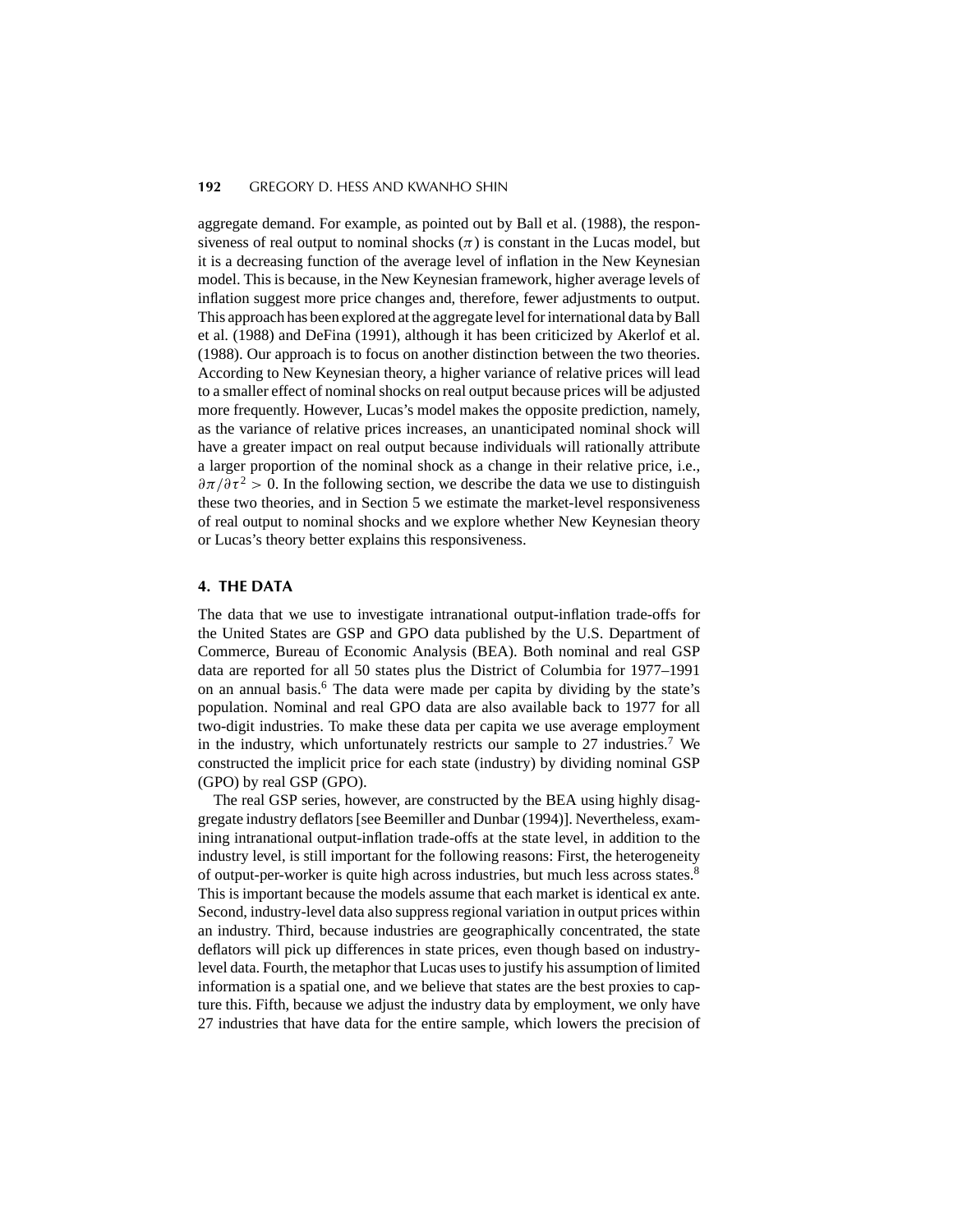aggregate demand. For example, as pointed out by Ball et al. (1988), the responsiveness of real output to nominal shocks  $(\pi)$  is constant in the Lucas model, but it is a decreasing function of the average level of inflation in the New Keynesian model. This is because, in the New Keynesian framework, higher average levels of inflation suggest more price changes and, therefore, fewer adjustments to output. This approach has been explored at the aggregate level for international data by Ball et al. (1988) and DeFina (1991), although it has been criticized by Akerlof et al. (1988). Our approach is to focus on another distinction between the two theories. According to New Keynesian theory, a higher variance of relative prices will lead to a smaller effect of nominal shocks on real output because prices will be adjusted more frequently. However, Lucas's model makes the opposite prediction, namely, as the variance of relative prices increases, an unanticipated nominal shock will have a greater impact on real output because individuals will rationally attribute a larger proportion of the nominal shock as a change in their relative price, i.e.,  $\partial \pi / \partial \tau^2 > 0$ . In the following section, we describe the data we use to distinguish these two theories, and in Section 5 we estimate the market-level responsiveness of real output to nominal shocks and we explore whether New Keynesian theory or Lucas's theory better explains this responsiveness.

#### **4. THE DATA**

The data that we use to investigate intranational output-inflation trade-offs for the United States are GSP and GPO data published by the U.S. Department of Commerce, Bureau of Economic Analysis (BEA). Both nominal and real GSP data are reported for all 50 states plus the District of Columbia for 1977–1991 on an annual basis.<sup>6</sup> The data were made per capita by dividing by the state's population. Nominal and real GPO data are also available back to 1977 for all two-digit industries. To make these data per capita we use average employment in the industry, which unfortunately restricts our sample to 27 industries.7 We constructed the implicit price for each state (industry) by dividing nominal GSP (GPO) by real GSP (GPO).

The real GSP series, however, are constructed by the BEA using highly disaggregate industry deflators [see Beemiller and Dunbar (1994)]. Nevertheless, examining intranational output-inflation trade-offs at the state level, in addition to the industry level, is still important for the following reasons: First, the heterogeneity of output-per-worker is quite high across industries, but much less across states.<sup>8</sup> This is important because the models assume that each market is identical ex ante. Second, industry-level data also suppress regional variation in output prices within an industry. Third, because industries are geographically concentrated, the state deflators will pick up differences in state prices, even though based on industrylevel data. Fourth, the metaphor that Lucas uses to justify his assumption of limited information is a spatial one, and we believe that states are the best proxies to capture this. Fifth, because we adjust the industry data by employment, we only have 27 industries that have data for the entire sample, which lowers the precision of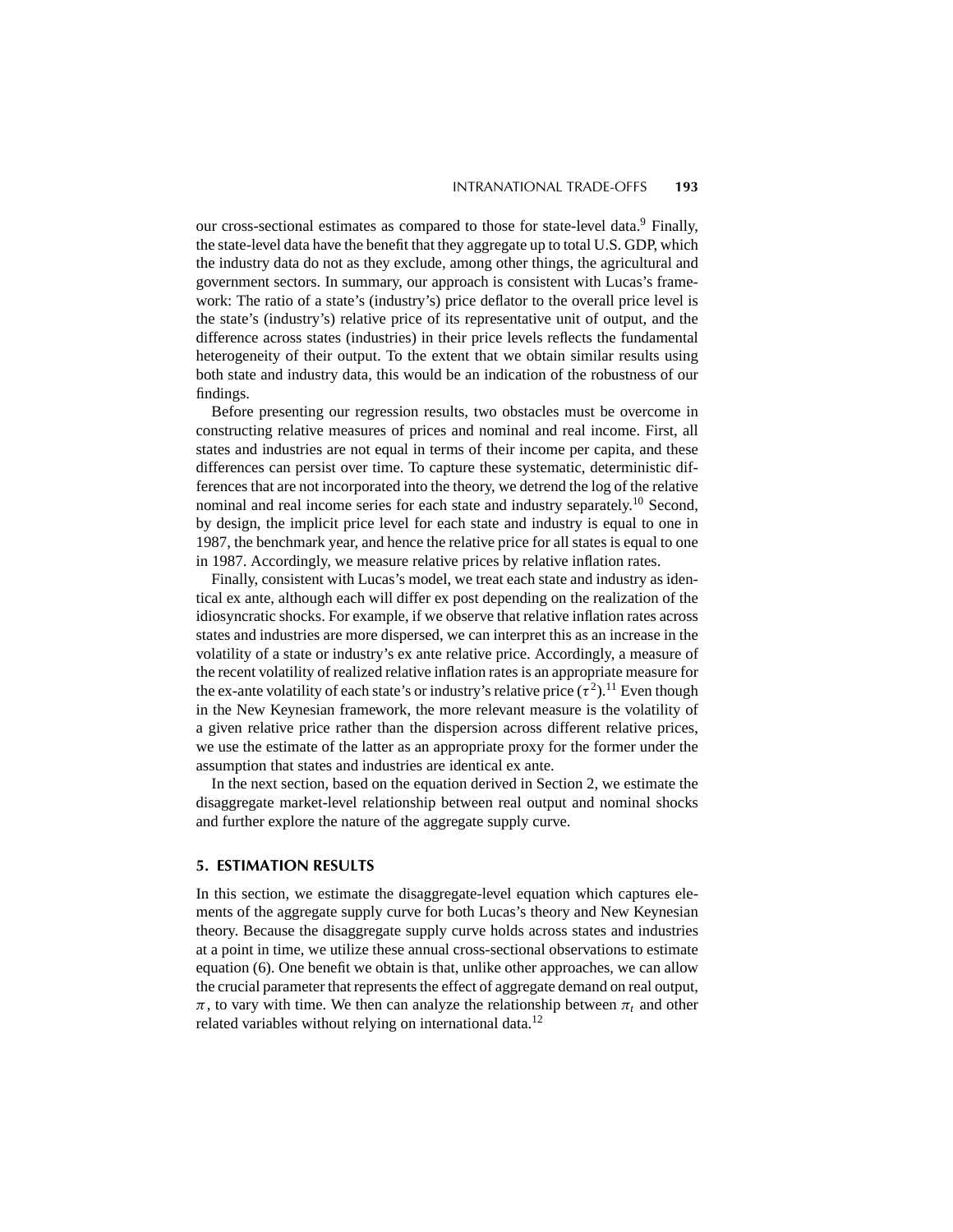our cross-sectional estimates as compared to those for state-level data.9 Finally, the state-level data have the benefit that they aggregate up to total U.S. GDP, which the industry data do not as they exclude, among other things, the agricultural and government sectors. In summary, our approach is consistent with Lucas's framework: The ratio of a state's (industry's) price deflator to the overall price level is the state's (industry's) relative price of its representative unit of output, and the difference across states (industries) in their price levels reflects the fundamental heterogeneity of their output. To the extent that we obtain similar results using both state and industry data, this would be an indication of the robustness of our findings.

Before presenting our regression results, two obstacles must be overcome in constructing relative measures of prices and nominal and real income. First, all states and industries are not equal in terms of their income per capita, and these differences can persist over time. To capture these systematic, deterministic differences that are not incorporated into the theory, we detrend the log of the relative nominal and real income series for each state and industry separately.<sup>10</sup> Second, by design, the implicit price level for each state and industry is equal to one in 1987, the benchmark year, and hence the relative price for all states is equal to one in 1987. Accordingly, we measure relative prices by relative inflation rates.

Finally, consistent with Lucas's model, we treat each state and industry as identical ex ante, although each will differ ex post depending on the realization of the idiosyncratic shocks. For example, if we observe that relative inflation rates across states and industries are more dispersed, we can interpret this as an increase in the volatility of a state or industry's ex ante relative price. Accordingly, a measure of the recent volatility of realized relative inflation rates is an appropriate measure for the ex-ante volatility of each state's or industry's relative price  $(\tau^2)$ .<sup>11</sup> Even though in the New Keynesian framework, the more relevant measure is the volatility of a given relative price rather than the dispersion across different relative prices, we use the estimate of the latter as an appropriate proxy for the former under the assumption that states and industries are identical ex ante.

In the next section, based on the equation derived in Section 2, we estimate the disaggregate market-level relationship between real output and nominal shocks and further explore the nature of the aggregate supply curve.

#### **5. ESTIMATION RESULTS**

In this section, we estimate the disaggregate-level equation which captures elements of the aggregate supply curve for both Lucas's theory and New Keynesian theory. Because the disaggregate supply curve holds across states and industries at a point in time, we utilize these annual cross-sectional observations to estimate equation (6). One benefit we obtain is that, unlike other approaches, we can allow the crucial parameter that represents the effect of aggregate demand on real output,  $\pi$ , to vary with time. We then can analyze the relationship between  $\pi_t$  and other related variables without relying on international data.<sup>12</sup>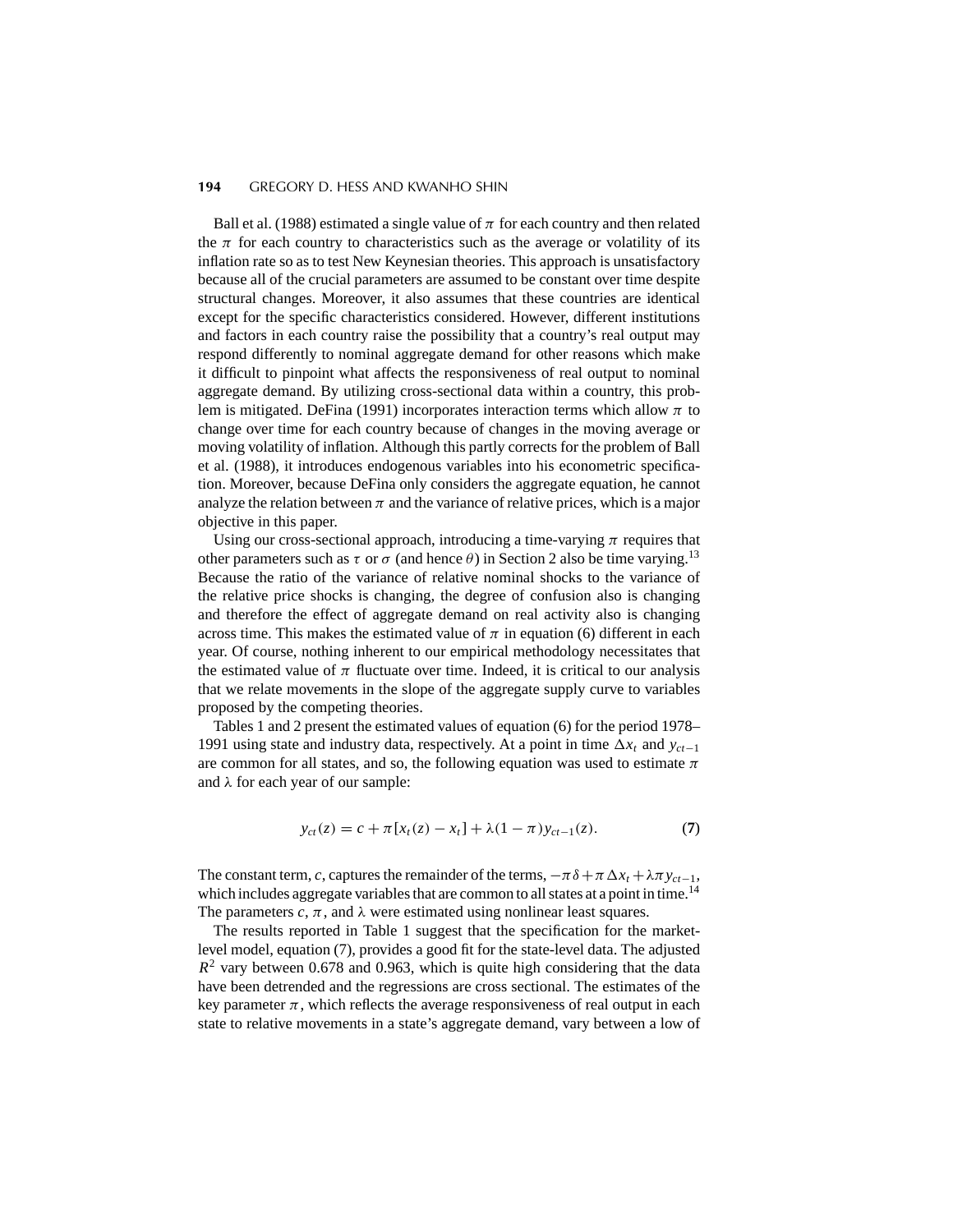Ball et al. (1988) estimated a single value of  $\pi$  for each country and then related the  $\pi$  for each country to characteristics such as the average or volatility of its inflation rate so as to test New Keynesian theories. This approach is unsatisfactory because all of the crucial parameters are assumed to be constant over time despite structural changes. Moreover, it also assumes that these countries are identical except for the specific characteristics considered. However, different institutions and factors in each country raise the possibility that a country's real output may respond differently to nominal aggregate demand for other reasons which make it difficult to pinpoint what affects the responsiveness of real output to nominal aggregate demand. By utilizing cross-sectional data within a country, this problem is mitigated. DeFina (1991) incorporates interaction terms which allow  $\pi$  to change over time for each country because of changes in the moving average or moving volatility of inflation. Although this partly corrects for the problem of Ball et al. (1988), it introduces endogenous variables into his econometric specification. Moreover, because DeFina only considers the aggregate equation, he cannot analyze the relation between  $\pi$  and the variance of relative prices, which is a major objective in this paper.

Using our cross-sectional approach, introducing a time-varying  $\pi$  requires that other parameters such as  $\tau$  or  $\sigma$  (and hence  $\theta$ ) in Section 2 also be time varying.<sup>13</sup> Because the ratio of the variance of relative nominal shocks to the variance of the relative price shocks is changing, the degree of confusion also is changing and therefore the effect of aggregate demand on real activity also is changing across time. This makes the estimated value of  $\pi$  in equation (6) different in each year. Of course, nothing inherent to our empirical methodology necessitates that the estimated value of  $\pi$  fluctuate over time. Indeed, it is critical to our analysis that we relate movements in the slope of the aggregate supply curve to variables proposed by the competing theories.

Tables 1 and 2 present the estimated values of equation (6) for the period 1978– 1991 using state and industry data, respectively. At a point in time  $\Delta x_t$  and  $y_{ct-1}$ are common for all states, and so, the following equation was used to estimate  $\pi$ and  $\lambda$  for each year of our sample:

$$
y_{ct}(z) = c + \pi [x_t(z) - x_t] + \lambda (1 - \pi) y_{ct-1}(z).
$$
 (7)

The constant term, *c*, captures the remainder of the terms,  $-\pi \delta + \pi \Delta x_t + \lambda \pi y_{ct-1}$ , which includes aggregate variables that are common to all states at a point in time.<sup>14</sup> The parameters  $c, \pi$ , and  $\lambda$  were estimated using nonlinear least squares.

The results reported in Table 1 suggest that the specification for the marketlevel model, equation (7), provides a good fit for the state-level data. The adjusted  $R^2$  vary between 0.678 and 0.963, which is quite high considering that the data have been detrended and the regressions are cross sectional. The estimates of the key parameter  $\pi$ , which reflects the average responsiveness of real output in each state to relative movements in a state's aggregate demand, vary between a low of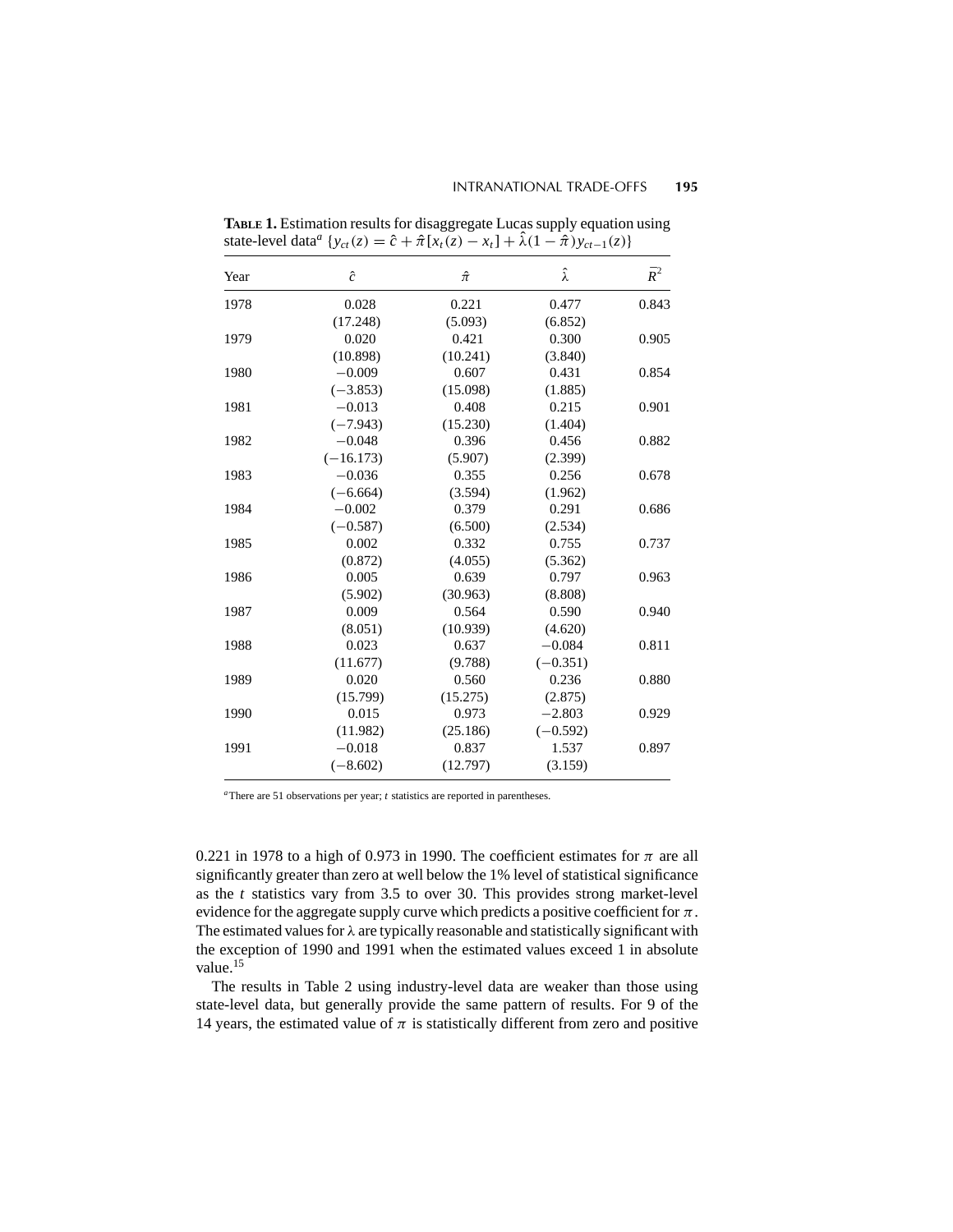| Year | $\hat{c}$   | $\hat{\pi}$ | $\hat{\lambda}$ | $\bar{R}^2$ |
|------|-------------|-------------|-----------------|-------------|
| 1978 | 0.028       | 0.221       | 0.477           | 0.843       |
|      | (17.248)    | (5.093)     | (6.852)         |             |
| 1979 | 0.020       | 0.421       | 0.300           | 0.905       |
|      | (10.898)    | (10.241)    | (3.840)         |             |
| 1980 | $-0.009$    | 0.607       | 0.431           | 0.854       |
|      | $(-3.853)$  | (15.098)    | (1.885)         |             |
| 1981 | $-0.013$    | 0.408       | 0.215           | 0.901       |
|      | $(-7.943)$  | (15.230)    | (1.404)         |             |
| 1982 | $-0.048$    | 0.396       | 0.456           | 0.882       |
|      | $(-16.173)$ | (5.907)     | (2.399)         |             |
| 1983 | $-0.036$    | 0.355       | 0.256           | 0.678       |
|      | $(-6.664)$  | (3.594)     | (1.962)         |             |
| 1984 | $-0.002$    | 0.379       | 0.291           | 0.686       |
|      | $(-0.587)$  | (6.500)     | (2.534)         |             |
| 1985 | 0.002       | 0.332       | 0.755           | 0.737       |
|      | (0.872)     | (4.055)     | (5.362)         |             |
| 1986 | 0.005       | 0.639       | 0.797           | 0.963       |
|      | (5.902)     | (30.963)    | (8.808)         |             |
| 1987 | 0.009       | 0.564       | 0.590           | 0.940       |
|      | (8.051)     | (10.939)    | (4.620)         |             |
| 1988 | 0.023       | 0.637       | $-0.084$        | 0.811       |
|      | (11.677)    | (9.788)     | $(-0.351)$      |             |
| 1989 | 0.020       | 0.560       | 0.236           | 0.880       |
|      | (15.799)    | (15.275)    | (2.875)         |             |
| 1990 | 0.015       | 0.973       | $-2.803$        | 0.929       |
|      | (11.982)    | (25.186)    | $(-0.592)$      |             |
| 1991 | $-0.018$    | 0.837       | 1.537           | 0.897       |
|      | $(-8.602)$  | (12.797)    | (3.159)         |             |
|      |             |             |                 |             |

**TABLE 1.** Estimation results for disaggregate Lucas supply equation using state-level data<sup>*a*</sup> {*y<sub>ct</sub>*(*z*) =  $\hat{c} + \hat{\pi}[x_t(z) - x_t] + \hat{\lambda}(1 - \hat{\pi})y_{ct-1}(z)$ }

*<sup>a</sup>*There are 51 observations per year; *t* statistics are reported in parentheses.

0.221 in 1978 to a high of 0.973 in 1990. The coefficient estimates for  $\pi$  are all significantly greater than zero at well below the 1% level of statistical significance as the *t* statistics vary from 3.5 to over 30. This provides strong market-level evidence for the aggregate supply curve which predicts a positive coefficient for  $\pi$ . The estimated values for  $\lambda$  are typically reasonable and statistically significant with the exception of 1990 and 1991 when the estimated values exceed 1 in absolute value.<sup>15</sup>

The results in Table 2 using industry-level data are weaker than those using state-level data, but generally provide the same pattern of results. For 9 of the 14 years, the estimated value of  $\pi$  is statistically different from zero and positive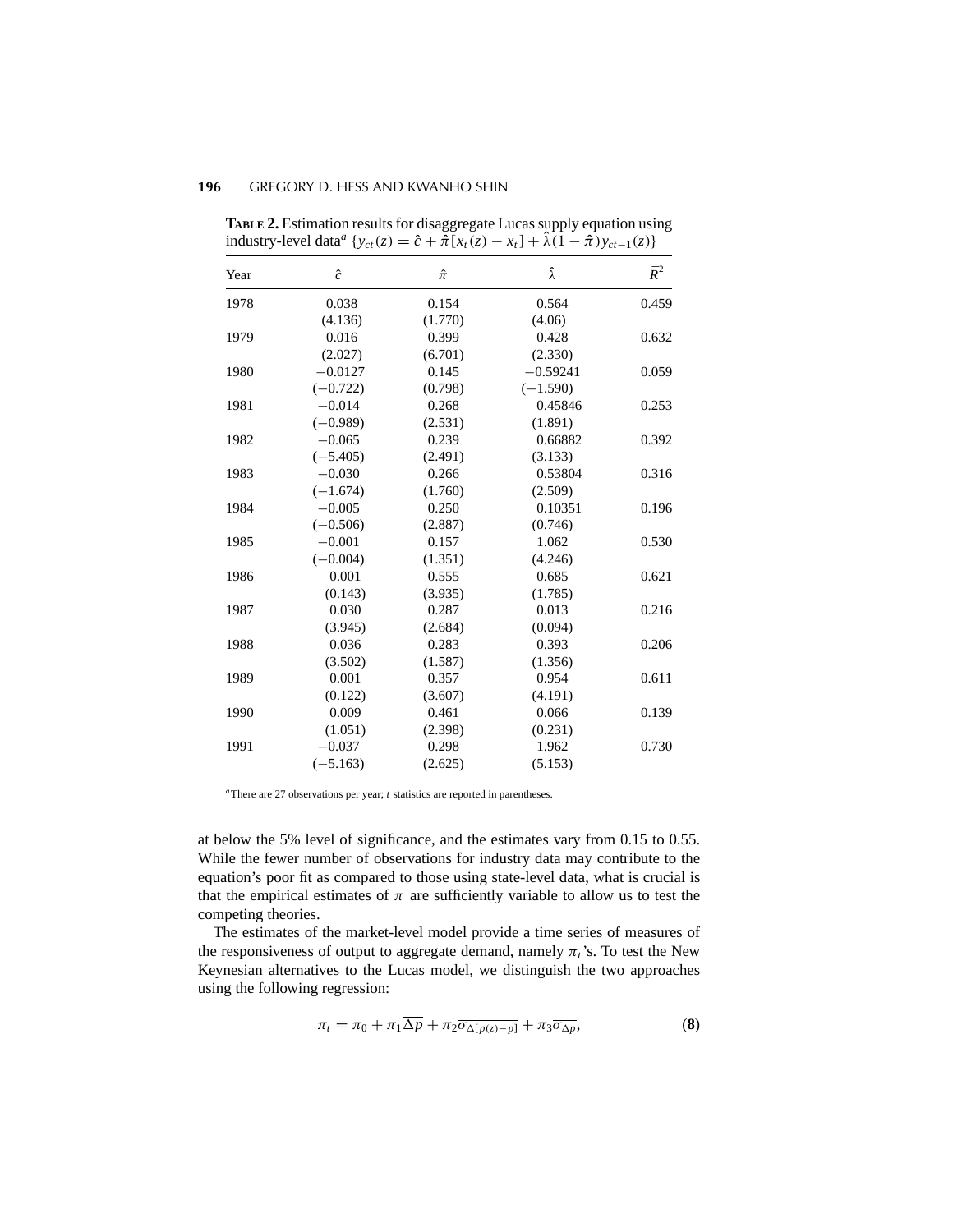| Year | ĉ          | $\hat{\pi}$ | $\hat{\lambda}$ | $\bar{R}^2$ |
|------|------------|-------------|-----------------|-------------|
| 1978 | 0.038      | 0.154       | 0.564           | 0.459       |
|      | (4.136)    | (1.770)     | (4.06)          |             |
| 1979 | 0.016      | 0.399       | 0.428           | 0.632       |
|      | (2.027)    | (6.701)     | (2.330)         |             |
| 1980 | $-0.0127$  | 0.145       | $-0.59241$      | 0.059       |
|      | $(-0.722)$ | (0.798)     | $(-1.590)$      |             |
| 1981 | $-0.014$   | 0.268       | 0.45846         | 0.253       |
|      | $(-0.989)$ | (2.531)     | (1.891)         |             |
| 1982 | $-0.065$   | 0.239       | 0.66882         | 0.392       |
|      | $(-5.405)$ | (2.491)     | (3.133)         |             |
| 1983 | $-0.030$   | 0.266       | 0.53804         | 0.316       |
|      | $(-1.674)$ | (1.760)     | (2.509)         |             |
| 1984 | $-0.005$   | 0.250       | 0.10351         | 0.196       |
|      | $(-0.506)$ | (2.887)     | (0.746)         |             |
| 1985 | $-0.001$   | 0.157       | 1.062           | 0.530       |
|      | $(-0.004)$ | (1.351)     | (4.246)         |             |
| 1986 | 0.001      | 0.555       | 0.685           | 0.621       |
|      | (0.143)    | (3.935)     | (1.785)         |             |
| 1987 | 0.030      | 0.287       | 0.013           | 0.216       |
|      | (3.945)    | (2.684)     | (0.094)         |             |
| 1988 | 0.036      | 0.283       | 0.393           | 0.206       |
|      | (3.502)    | (1.587)     | (1.356)         |             |
| 1989 | 0.001      | 0.357       | 0.954           | 0.611       |
|      | (0.122)    | (3.607)     | (4.191)         |             |
| 1990 | 0.009      | 0.461       | 0.066           | 0.139       |
|      | (1.051)    | (2.398)     | (0.231)         |             |
| 1991 | $-0.037$   | 0.298       | 1.962           | 0.730       |
|      | $(-5.163)$ | (2.625)     | (5.153)         |             |
|      |            |             |                 |             |

**196** GREGORY D. HESS AND KWANHO SHIN

**TABLE 2.** Estimation results for disaggregate Lucas supply equation using industry-level data<sup>*a*</sup> { $y_{ct}(z) = \hat{c} + \hat{\pi}[x_{t}(z) - x_{t}] + \hat{\lambda}(1 - \hat{\pi})y_{ct-1}(z)$ }

*<sup>a</sup>*There are 27 observations per year; *t* statistics are reported in parentheses.

at below the 5% level of significance, and the estimates vary from 0.15 to 0.55. While the fewer number of observations for industry data may contribute to the equation's poor fit as compared to those using state-level data, what is crucial is that the empirical estimates of  $\pi$  are sufficiently variable to allow us to test the competing theories.

The estimates of the market-level model provide a time series of measures of the responsiveness of output to aggregate demand, namely  $\pi_t$ 's. To test the New Keynesian alternatives to the Lucas model, we distinguish the two approaches using the following regression:

$$
\pi_t = \pi_0 + \pi_1 \overline{\Delta p} + \pi_2 \overline{\sigma_{\Delta[p(z)-p]}} + \pi_3 \overline{\sigma_{\Delta p}},
$$
\n(8)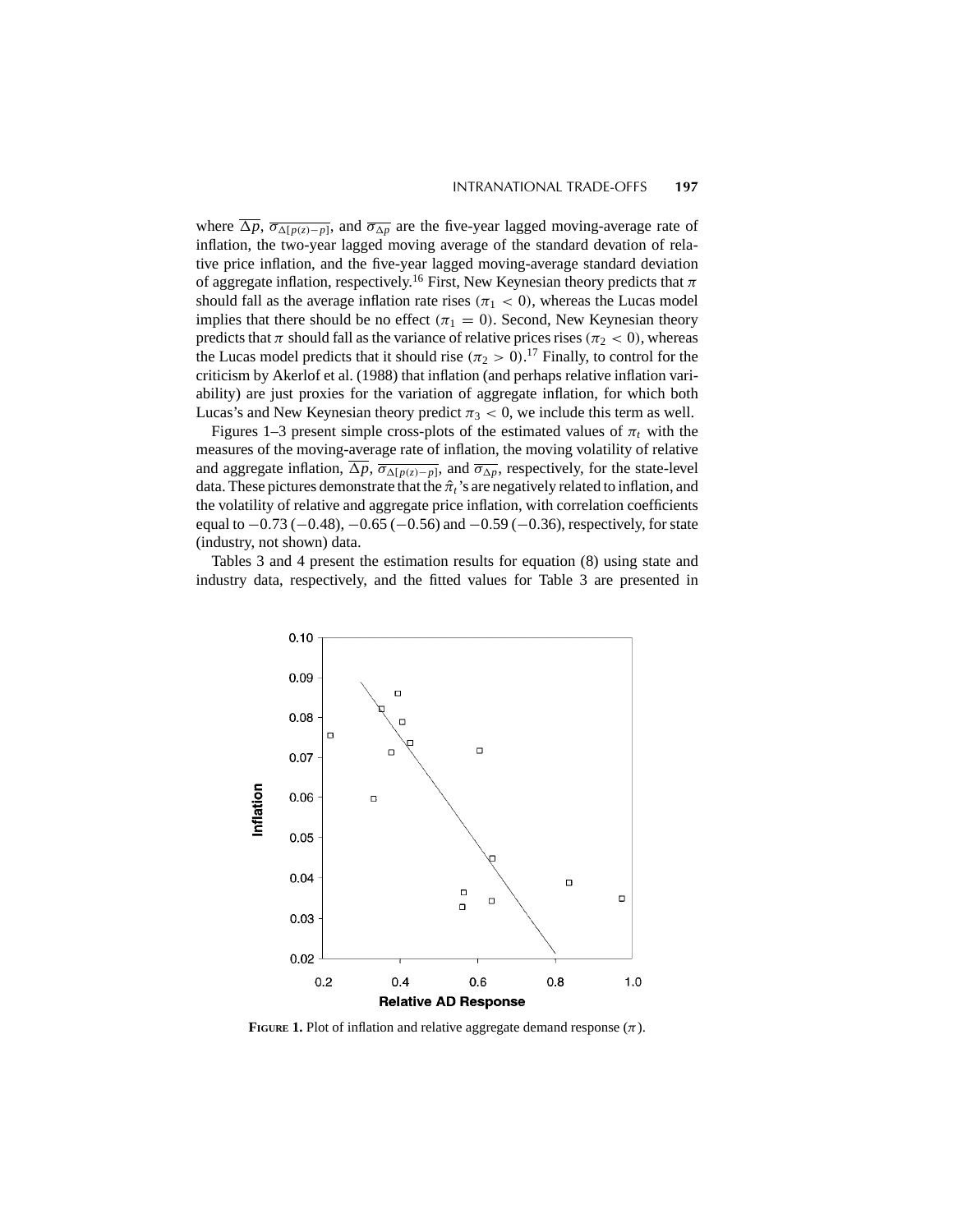where  $\overline{\Delta p}$ ,  $\overline{\sigma_{\Delta[p(z)-p]}}$ , and  $\overline{\sigma_{\Delta p}}$  are the five-year lagged moving-average rate of inflation, the two-year lagged moving average of the standard devation of relative price inflation, and the five-year lagged moving-average standard deviation of aggregate inflation, respectively.<sup>16</sup> First, New Keynesian theory predicts that  $\pi$ should fall as the average inflation rate rises ( $\pi$ <sub>1</sub> < 0), whereas the Lucas model implies that there should be no effect ( $\pi_1 = 0$ ). Second, New Keynesian theory predicts that  $\pi$  should fall as the variance of relative prices rises ( $\pi$ <sub>2</sub> < 0), whereas the Lucas model predicts that it should rise  $(\pi_2 > 0)$ .<sup>17</sup> Finally, to control for the criticism by Akerlof et al. (1988) that inflation (and perhaps relative inflation variability) are just proxies for the variation of aggregate inflation, for which both Lucas's and New Keynesian theory predict  $\pi_3$  < 0, we include this term as well.

Figures 1–3 present simple cross-plots of the estimated values of  $\pi_t$  with the measures of the moving-average rate of inflation, the moving volatility of relative and aggregate inflation,  $\overline{\Delta p}$ ,  $\overline{\sigma_{\Delta[p(z)-p]}}$ , and  $\overline{\sigma_{\Delta p}}$ , respectively, for the state-level data. These pictures demonstrate that the  $\hat{\pi}$ <sup>'</sup> s are negatively related to inflation, and the volatility of relative and aggregate price inflation, with correlation coefficients equal to  $-0.73$  ( $-0.48$ ),  $-0.65$  ( $-0.56$ ) and  $-0.59$  ( $-0.36$ ), respectively, for state (industry, not shown) data.

Tables 3 and 4 present the estimation results for equation (8) using state and industry data, respectively, and the fitted values for Table 3 are presented in



**FIGURE 1.** Plot of inflation and relative aggregate demand response  $(\pi)$ .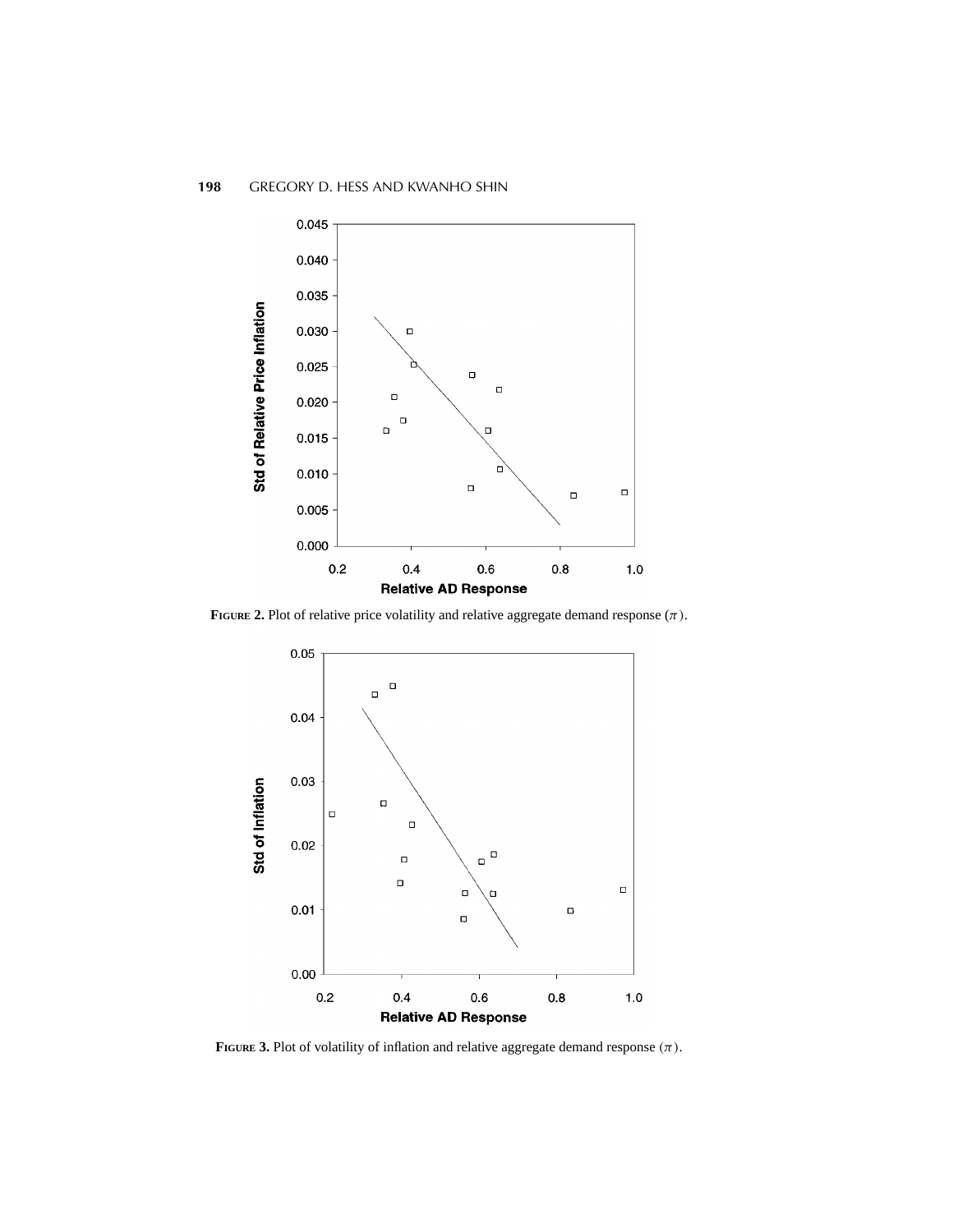

**FIGURE 2.** Plot of relative price volatility and relative aggregate demand response  $(\pi)$ .



**FIGURE 3.** Plot of volatility of inflation and relative aggregate demand response  $(\pi)$ .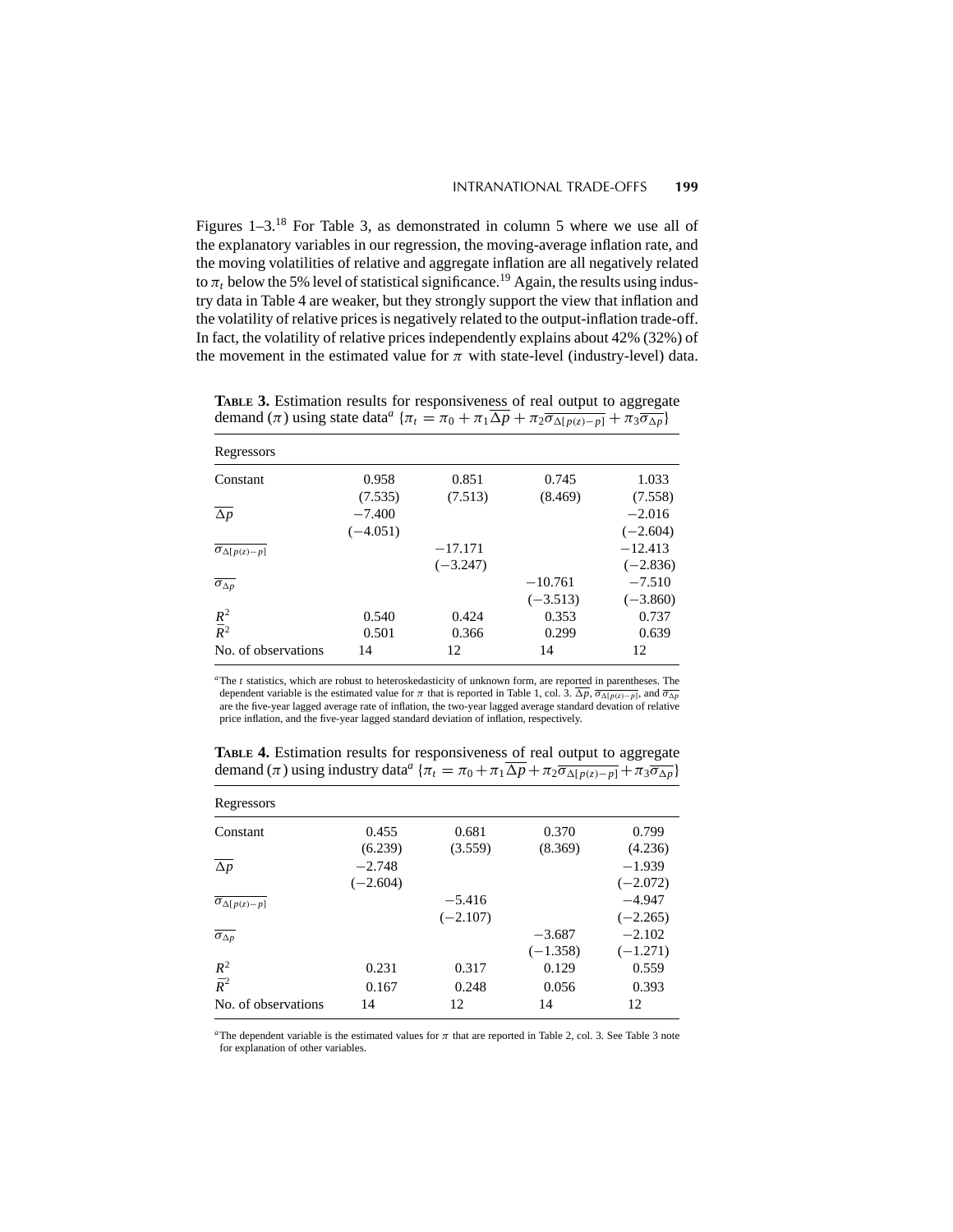Figures 1–3.18 For Table 3, as demonstrated in column 5 where we use all of the explanatory variables in our regression, the moving-average inflation rate, and the moving volatilities of relative and aggregate inflation are all negatively related to  $\pi_t$  below the 5% level of statistical significance.<sup>19</sup> Again, the results using industry data in Table 4 are weaker, but they strongly support the view that inflation and the volatility of relative prices is negatively related to the output-inflation trade-off. In fact, the volatility of relative prices independently explains about 42% (32%) of the movement in the estimated value for  $\pi$  with state-level (industry-level) data.

**TABLE 3.** Estimation results for responsiveness of real output to aggregate demand  $(\pi)$  using state data<sup>*a*</sup> { $\pi_t = \pi_0 + \pi_1 \overline{\Delta p} + \pi_2 \overline{\sigma_{\Delta[p(\zeta) - p]}} + \pi_3 \overline{\sigma_{\Delta p}}$ }

| Regressors                     |            |            |            |            |
|--------------------------------|------------|------------|------------|------------|
| Constant                       | 0.958      | 0.851      | 0.745      | 1.033      |
|                                | (7.535)    | (7.513)    | (8.469)    | (7.558)    |
| $\Delta p$                     | $-7.400$   |            |            | $-2.016$   |
|                                | $(-4.051)$ |            |            | $(-2.604)$ |
| $\sigma_{\Delta[p(z)-p]}$      |            | $-17.171$  |            | $-12.413$  |
|                                |            | $(-3.247)$ |            | $(-2.836)$ |
| $\overline{\sigma_{\Delta p}}$ |            |            | $-10.761$  | $-7.510$   |
|                                |            |            | $(-3.513)$ | $(-3.860)$ |
| $R^2$                          | 0.540      | 0.424      | 0.353      | 0.737      |
| $\bar{R}^2$                    | 0.501      | 0.366      | 0.299      | 0.639      |
| No. of observations            | 14         | 12         | 14         | 12         |

*<sup>a</sup>*The *t* statistics, which are robust to heteroskedasticity of unknown form, are reported in parentheses. The dependent variable is the estimated value for  $\pi$  that is reported in Table 1, col. 3.  $\overline{\Delta p}$ ,  $\overline{\sigma_{\Delta p}(z)-p_1}$ , and  $\overline{\sigma_{\Delta p}}$ are the five-year lagged average rate of inflation, the two-year lagged average standard devation of relative price inflation, and the five-year lagged standard deviation of inflation, respectively.

**TABLE 4.** Estimation results for responsiveness of real output to aggregate demand  $(\pi)$  using industry data<sup>*a*</sup> { $\pi$ <sub>*t*</sub> =  $\pi$ <sub>0</sub> +  $\pi$ <sub>1</sub> $\overline{\Delta p}$  +  $\pi$ <sub>2</sub> $\overline{\sigma_{\Delta p}}$ <sub>*p*(*z*)−*p*] +  $\pi$ <sub>3</sub> $\overline{\sigma_{\Delta p}}$ }</sub>

| Regressors                     |            |            |            |            |
|--------------------------------|------------|------------|------------|------------|
| Constant                       | 0.455      | 0.681      | 0.370      | 0.799      |
|                                | (6.239)    | (3.559)    | (8.369)    | (4.236)    |
| $\Delta p$                     | $-2.748$   |            |            | $-1.939$   |
|                                | $(-2.604)$ |            |            | $(-2.072)$ |
| $\sigma_{\Delta[p(z)-p]}$      |            | $-5.416$   |            | $-4.947$   |
|                                |            | $(-2.107)$ |            | $(-2.265)$ |
| $\overline{\sigma_{\Delta p}}$ |            |            | $-3.687$   | $-2.102$   |
|                                |            |            | $(-1.358)$ | $(-1.271)$ |
| $R^2$                          | 0.231      | 0.317      | 0.129      | 0.559      |
| $\bar{R}^2$                    | 0.167      | 0.248      | 0.056      | 0.393      |
| No. of observations            | 14         | 12         | 14         | 12         |

*a*The dependent variable is the estimated values for  $\pi$  that are reported in Table 2, col. 3. See Table 3 note for explanation of other variables.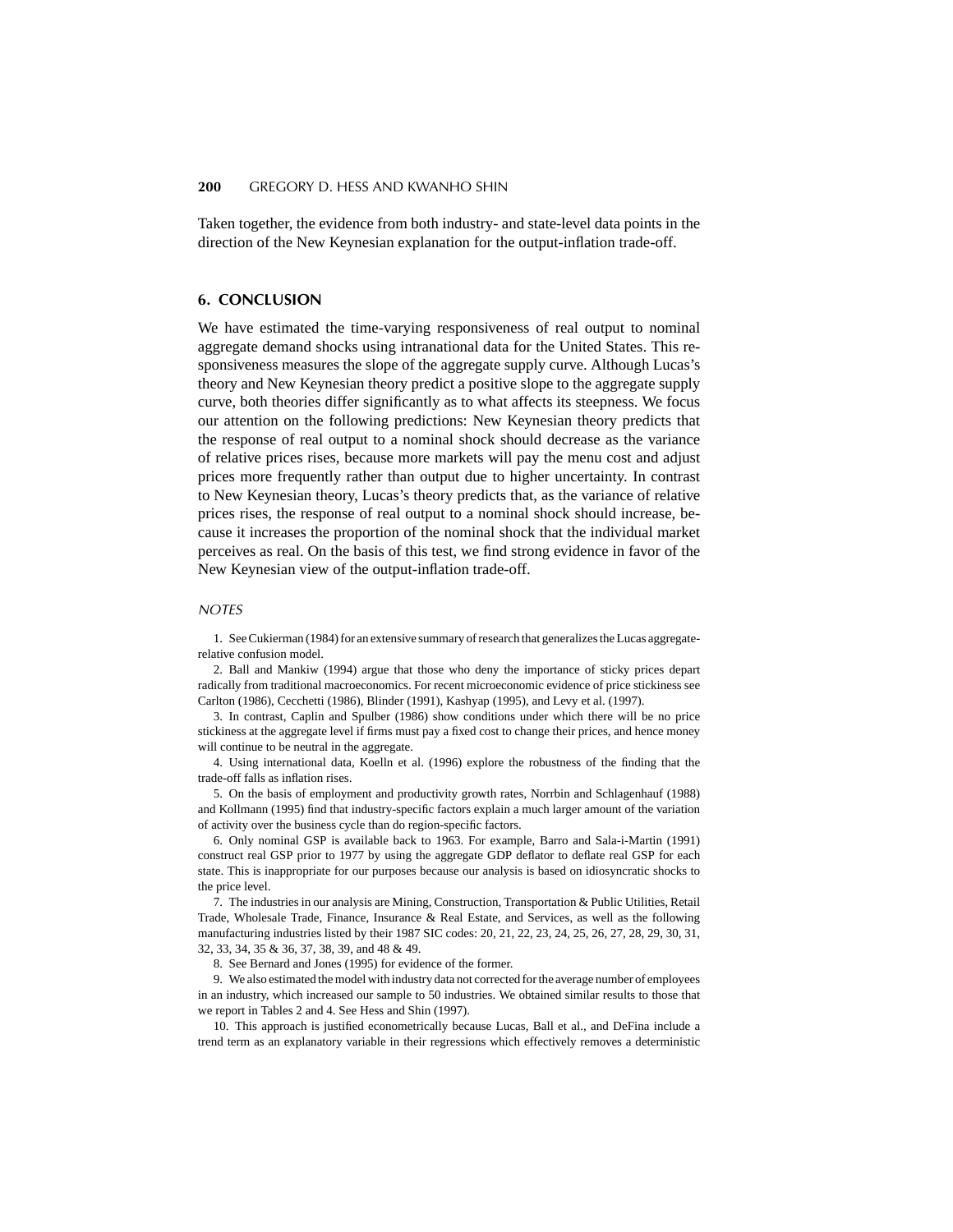Taken together, the evidence from both industry- and state-level data points in the direction of the New Keynesian explanation for the output-inflation trade-off.

#### **6. CONCLUSION**

We have estimated the time-varying responsiveness of real output to nominal aggregate demand shocks using intranational data for the United States. This responsiveness measures the slope of the aggregate supply curve. Although Lucas's theory and New Keynesian theory predict a positive slope to the aggregate supply curve, both theories differ significantly as to what affects its steepness. We focus our attention on the following predictions: New Keynesian theory predicts that the response of real output to a nominal shock should decrease as the variance of relative prices rises, because more markets will pay the menu cost and adjust prices more frequently rather than output due to higher uncertainty. In contrast to New Keynesian theory, Lucas's theory predicts that, as the variance of relative prices rises, the response of real output to a nominal shock should increase, because it increases the proportion of the nominal shock that the individual market perceives as real. On the basis of this test, we find strong evidence in favor of the New Keynesian view of the output-inflation trade-off.

#### NOTES

1. See Cukierman (1984) for an extensive summary of research that generalizes the Lucas aggregaterelative confusion model.

2. Ball and Mankiw (1994) argue that those who deny the importance of sticky prices depart radically from traditional macroeconomics. For recent microeconomic evidence of price stickiness see Carlton (1986), Cecchetti (1986), Blinder (1991), Kashyap (1995), and Levy et al. (1997).

3. In contrast, Caplin and Spulber (1986) show conditions under which there will be no price stickiness at the aggregate level if firms must pay a fixed cost to change their prices, and hence money will continue to be neutral in the aggregate.

4. Using international data, Koelln et al. (1996) explore the robustness of the finding that the trade-off falls as inflation rises.

5. On the basis of employment and productivity growth rates, Norrbin and Schlagenhauf (1988) and Kollmann (1995) find that industry-specific factors explain a much larger amount of the variation of activity over the business cycle than do region-specific factors.

6. Only nominal GSP is available back to 1963. For example, Barro and Sala-i-Martin (1991) construct real GSP prior to 1977 by using the aggregate GDP deflator to deflate real GSP for each state. This is inappropriate for our purposes because our analysis is based on idiosyncratic shocks to the price level.

7. The industries in our analysis are Mining, Construction, Transportation & Public Utilities, Retail Trade, Wholesale Trade, Finance, Insurance & Real Estate, and Services, as well as the following manufacturing industries listed by their 1987 SIC codes: 20, 21, 22, 23, 24, 25, 26, 27, 28, 29, 30, 31, 32, 33, 34, 35 & 36, 37, 38, 39, and 48 & 49.

8. See Bernard and Jones (1995) for evidence of the former.

9. We also estimated the model with industry data not corrected for the average number of employees in an industry, which increased our sample to 50 industries. We obtained similar results to those that we report in Tables 2 and 4. See Hess and Shin (1997).

10. This approach is justified econometrically because Lucas, Ball et al., and DeFina include a trend term as an explanatory variable in their regressions which effectively removes a deterministic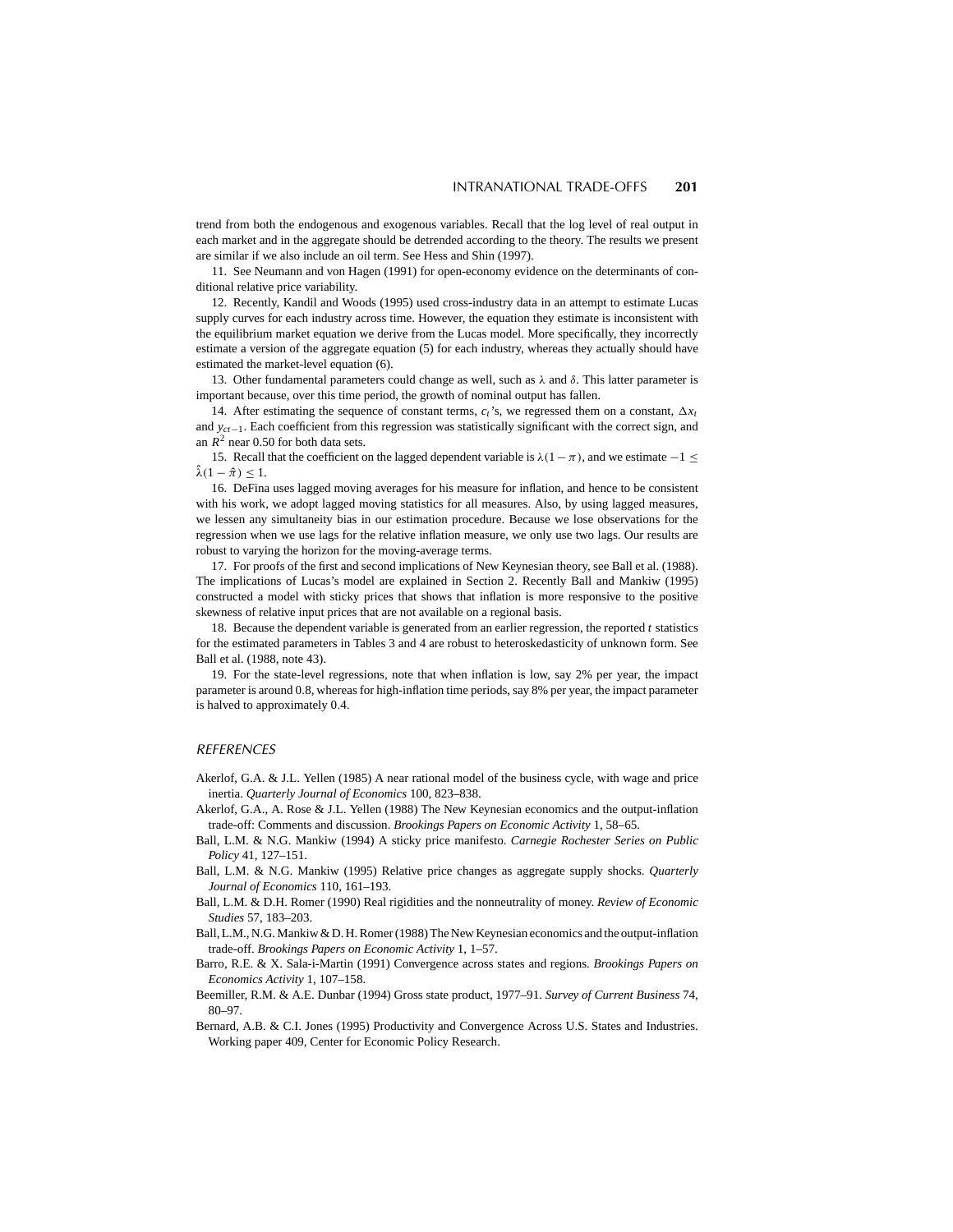trend from both the endogenous and exogenous variables. Recall that the log level of real output in each market and in the aggregate should be detrended according to the theory. The results we present are similar if we also include an oil term. See Hess and Shin (1997).

11. See Neumann and von Hagen (1991) for open-economy evidence on the determinants of conditional relative price variability.

12. Recently, Kandil and Woods (1995) used cross-industry data in an attempt to estimate Lucas supply curves for each industry across time. However, the equation they estimate is inconsistent with the equilibrium market equation we derive from the Lucas model. More specifically, they incorrectly estimate a version of the aggregate equation (5) for each industry, whereas they actually should have estimated the market-level equation (6).

13. Other fundamental parameters could change as well, such as λ and δ. This latter parameter is important because, over this time period, the growth of nominal output has fallen.

14. After estimating the sequence of constant terms,  $c_t$ 's, we regressed them on a constant,  $\Delta x_t$ and *yct*−1. Each coefficient from this regression was statistically significant with the correct sign, and an  $R^2$  near 0.50 for both data sets.

15. Recall that the coefficient on the lagged dependent variable is  $\lambda(1 - \pi)$ , and we estimate  $-1 \le$  $\hat{\lambda}(1 - \hat{\pi}) \leq 1.$ 

16. DeFina uses lagged moving averages for his measure for inflation, and hence to be consistent with his work, we adopt lagged moving statistics for all measures. Also, by using lagged measures, we lessen any simultaneity bias in our estimation procedure. Because we lose observations for the regression when we use lags for the relative inflation measure, we only use two lags. Our results are robust to varying the horizon for the moving-average terms.

17. For proofs of the first and second implications of New Keynesian theory, see Ball et al. (1988). The implications of Lucas's model are explained in Section 2. Recently Ball and Mankiw (1995) constructed a model with sticky prices that shows that inflation is more responsive to the positive skewness of relative input prices that are not available on a regional basis.

18. Because the dependent variable is generated from an earlier regression, the reported *t* statistics for the estimated parameters in Tables 3 and 4 are robust to heteroskedasticity of unknown form. See Ball et al. (1988, note 43).

19. For the state-level regressions, note that when inflation is low, say 2% per year, the impact parameter is around 0.8, whereas for high-inflation time periods, say 8% per year, the impact parameter is halved to approximately 0.4.

#### **REFERENCES**

Akerlof, G.A. & J.L. Yellen (1985) A near rational model of the business cycle, with wage and price inertia. *Quarterly Journal of Economics* 100, 823–838.

Akerlof, G.A., A. Rose & J.L. Yellen (1988) The New Keynesian economics and the output-inflation trade-off: Comments and discussion. *Brookings Papers on Economic Activity* 1, 58–65.

Ball, L.M. & N.G. Mankiw (1994) A sticky price manifesto. *Carnegie Rochester Series on Public Policy* 41, 127–151.

Ball, L.M. & N.G. Mankiw (1995) Relative price changes as aggregate supply shocks. *Quarterly Journal of Economics* 110, 161–193.

Ball, L.M. & D.H. Romer (1990) Real rigidities and the nonneutrality of money. *Review of Economic Studies* 57, 183–203.

Ball, L.M., N.G. Mankiw & D. H. Romer (1988) The New Keynesian economics and the output-inflation trade-off. *Brookings Papers on Economic Activity* 1, 1–57.

Barro, R.E. & X. Sala-i-Martin (1991) Convergence across states and regions. *Brookings Papers on Economics Activity* 1, 107–158.

Beemiller, R.M. & A.E. Dunbar (1994) Gross state product, 1977–91. *Survey of Current Business* 74, 80–97.

Bernard, A.B. & C.I. Jones (1995) Productivity and Convergence Across U.S. States and Industries. Working paper 409, Center for Economic Policy Research.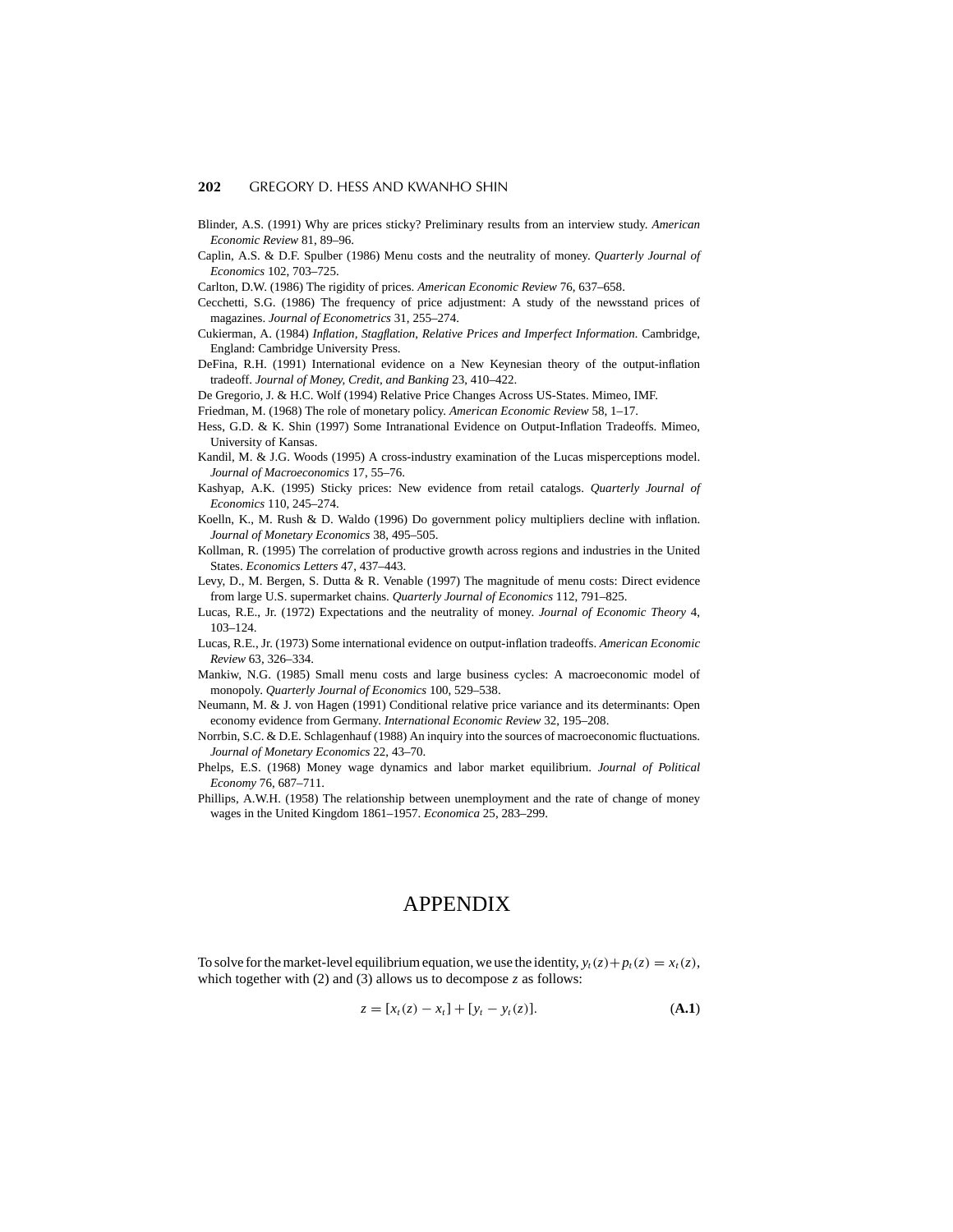- Blinder, A.S. (1991) Why are prices sticky? Preliminary results from an interview study. *American Economic Review* 81, 89–96.
- Caplin, A.S. & D.F. Spulber (1986) Menu costs and the neutrality of money. *Quarterly Journal of Economics* 102, 703–725.
- Carlton, D.W. (1986) The rigidity of prices. *American Economic Review* 76, 637–658.
- Cecchetti, S.G. (1986) The frequency of price adjustment: A study of the newsstand prices of magazines. *Journal of Econometrics* 31, 255–274.
- Cukierman, A. (1984) *Inflation, Stagflation, Relative Prices and Imperfect Information.* Cambridge, England: Cambridge University Press.
- DeFina, R.H. (1991) International evidence on a New Keynesian theory of the output-inflation tradeoff. *Journal of Money, Credit, and Banking* 23, 410–422.
- De Gregorio, J. & H.C. Wolf (1994) Relative Price Changes Across US-States. Mimeo, IMF.
- Friedman, M. (1968) The role of monetary policy. *American Economic Review* 58, 1–17.
- Hess, G.D. & K. Shin (1997) Some Intranational Evidence on Output-Inflation Tradeoffs. Mimeo, University of Kansas.
- Kandil, M. & J.G. Woods (1995) A cross-industry examination of the Lucas misperceptions model. *Journal of Macroeconomics* 17, 55–76.
- Kashyap, A.K. (1995) Sticky prices: New evidence from retail catalogs. *Quarterly Journal of Economics* 110, 245–274.
- Koelln, K., M. Rush & D. Waldo (1996) Do government policy multipliers decline with inflation. *Journal of Monetary Economics* 38, 495–505.
- Kollman, R. (1995) The correlation of productive growth across regions and industries in the United States. *Economics Letters* 47, 437–443.
- Levy, D., M. Bergen, S. Dutta & R. Venable (1997) The magnitude of menu costs: Direct evidence from large U.S. supermarket chains. *Quarterly Journal of Economics* 112, 791–825.
- Lucas, R.E., Jr. (1972) Expectations and the neutrality of money. *Journal of Economic Theory* 4, 103–124.
- Lucas, R.E., Jr. (1973) Some international evidence on output-inflation tradeoffs. *American Economic Review* 63, 326–334.
- Mankiw, N.G. (1985) Small menu costs and large business cycles: A macroeconomic model of monopoly. *Quarterly Journal of Economics* 100, 529–538.
- Neumann, M. & J. von Hagen (1991) Conditional relative price variance and its determinants: Open economy evidence from Germany. *International Economic Review* 32, 195–208.
- Norrbin, S.C. & D.E. Schlagenhauf (1988) An inquiry into the sources of macroeconomic fluctuations. *Journal of Monetary Economics* 22, 43–70.
- Phelps, E.S. (1968) Money wage dynamics and labor market equilibrium. *Journal of Political Economy* 76, 687–711.
- Phillips, A.W.H. (1958) The relationship between unemployment and the rate of change of money wages in the United Kingdom 1861–1957. *Economica* 25, 283–299.

# APPENDIX

To solve for the market-level equilibrium equation, we use the identity,  $y_t(z) + p_t(z) = x_t(z)$ , which together with (2) and (3) allows us to decompose *z* as follows:

$$
z = [x_t(z) - x_t] + [y_t - y_t(z)].
$$
\n(A.1)